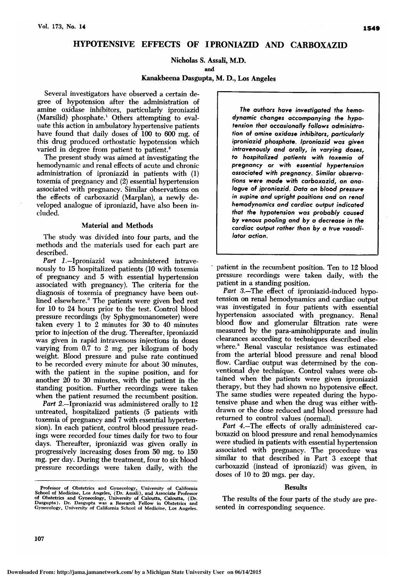# HYPOTENSIVE EFFECTS OF IPRONIAZID AND CARBOXAZID

Nicholas S. Assali, M.D.

and

### Kanakbeena Dasgupta, M. D., Los Angeles

Several investigators have observed a certain degree of hypotension after the administration of amine oxidase inhibitors, particularly iproniazid  $(Marsilid)$  phosphate.<sup>1</sup> Others attempting to evaluate this action in ambulatory hypertensive patients have found that daily doses of <sup>100</sup> to <sup>600</sup> mg. of this drug produced orthostatic hypotension which varied in degree from patient to patient.<sup>2</sup>

The present study was aimed at investigating the hemodynamic and renal effects of acute and chronic administration of iproniazid in patients with (1) toxemia of pregnancy and (2) essential hypertension associated with pregnancy. Similar observations on the effects of carboxazid (Marplan), a newly developed analogue of iproniazid, have also been in cluded.

# Material and Methods

The study was divided into four parts, and the methods and the materials used for each part are described.

Part 1.-Iproniazid was administered intravenously to <sup>15</sup> hospitalized patients (10 with toxemia of pregnancy and <sup>5</sup> with essential hypertension associated with pregnancy). The criteria for the diagnosis of toxemia of pregnancy have been outlined elsewhere.3 The patients were given bed rest for <sup>10</sup> to <sup>24</sup> hours prior to the test. Control blood pressure recordings (by Sphygmomanometer) were taken every <sup>1</sup> to 2 minutes for 30 to 40 minutes prior to injection of the drug. Thereafter, iproniazid was given in rapid intravenous injections in doses varying from 0.7 to <sup>2</sup> mg. per kilogram of body weight. Blood pressure and pulse rate continued to be recorded every minute for about <sup>30</sup> minutes, with the patient in the supine position, and for another <sup>20</sup> to 30 minutes, with the patient in the standing position. Further recordings were taken when the patient resumed the recumbent position.

Part 2.-Iproniazid was administered orally to 12 untreated, hospitalized patients (5 patients with toxemia of pregnancy and 7 with essential hypertension). In each patient, control blood pressure readings were recorded four times daily for two to four days. Thereafter, iproniazid was given orally in progressively increasing doses from 50 mg. to <sup>150</sup> mg. per day. During the treatment, four to six blood pressure recordings were taken daily, with the

Professor of Obstetrics and Gynecology, University of California<br>School of Medicine, Los Angeles, (Dr. Assali), and Associate Professor<br>of Obstetrics and Gynecology, University of Calcutta, Calcutta, (Dr.<br>Dasgupta). Dr. Da

The authors have investigated the hemodynamic changes accompanying the hypotension that occasionally follows administration of amine oxidase inhibitors, particularly iproniazid phosphate. Iproniazid was given intravenously and orally, in varying doses, to hospitalized patients with toxemia of pregnancy or with essential hypertension associated with pregnancy. Similar observations were made with carboxazid, an analogue of iproniazid. Data on blood pressure in supine and upright positions and on renal hemodynamics and cardiac output indicated that the hypotension was probably caused by venous pooling and by a decrease in the cardiac output rather than by a true vasodilator action.

patient in the recumbent position. Ten to <sup>12</sup> blood pressure recordings were taken daily, with the patient in <sup>a</sup> standing position.

Part 3.-The effect of iproniazid-induced hypotension on renal hemodynamics and cardiac output was investigated in four patients with essential hypertension associated with pregnancy. Renal blood flow and glomerular filtration rate were measured by the para-aminohippurate and inulin clearances according to techniques described else where.3 Renal vascular resistance was estimated from the arterial blood pressure and renal blood flow. Cardiac output was determined by the conventional dye technique. Control values were ob tained when the patients were given iproniazid therapy, but they had shown no hypotensive effect. The same studies were repeated during the hypotensive phase and when the drug was either withdrawn or the dose reduced and blood pressure had returned to control values (normal).

Part 4.–The effects of orally administered carboxazid on blood pressure and renal hemodynamics were studied in patients with essential hypertension associated with pregnancy. The procedure was similar to that described in Part <sup>3</sup> except that carboxazid (instead of iproniazid) was given, in doses of <sup>10</sup> to <sup>20</sup> mgs. per day.

### Results

The results of the four parts of the study are pre-<br>sented in corresponding sequence.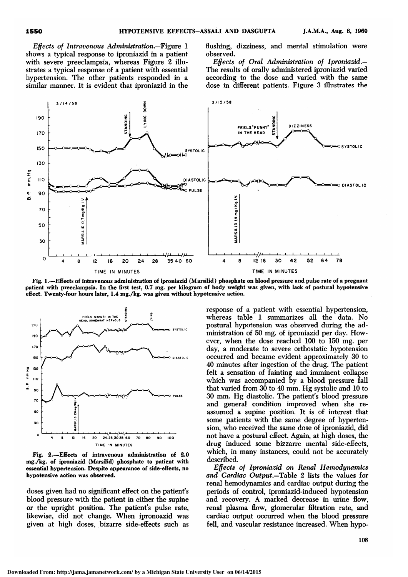Effects of Intravenous Administration—Figure <sup>1</sup> shows <sup>a</sup> typical response to iproniazid in <sup>a</sup> patient with severe preeclampsia, whereas Figure 2 illustrates <sup>a</sup> typical response of <sup>a</sup> patient with essential hypertension. The other patients responded in <sup>a</sup> similar manner. It is evident that iproniazid in the flushing, dizziness, and mental stimulation were observed.

Effects of Oral Administration of Iproniazid — The results of orally administered iproniazid varied according to the dose and varied with the same dose in different patients. Figure <sup>3</sup> illustrates the



Fig. 1.—Effects of intravenous administration of iproniazid (Marsilid) phosphate on blood pressure and pulse rate of <sup>a</sup> pregnant patient with preeclampsia. In the first test, 0.7 mg. per kilogram of body weight was given, with lack of postural hypotensive effect. Twenty-four hours later, 1.4 mg./kg. was given without hypotensive action.



Fig. 2.—Effects of intravenous administration of 2.0 mg./kg. of iproniazid (Marsilid) phosphate to patient with essential hypertension. Despite appearance of side-effects, no hypotensive action was observed.

doses given had no significant effect on the patient's blood pressure with the patient in either the supine or the upright position. The patient's pulse rate, likewise, did not change. When ipronoazid was given at high doses, bizarre side-effects such as

response of <sup>a</sup> patient with essential hypertension, whereas table <sup>1</sup> summarizes all the data. No postural hypotension was observed during the administration of 50 mg. of iproniazid per day. However, when the dose reached <sup>100</sup> to <sup>150</sup> mg. per day, <sup>a</sup> moderate to severe orthostatic hypotension occurred and became evident approximately 30 to 40 minutes after ingestion of the drug. The patient felt <sup>a</sup> sensation of fainting and imminent collapse which was accompanied by <sup>a</sup> blood pressure fall that varied from <sup>30</sup> to <sup>40</sup> mm. Hg systolic and <sup>10</sup> to <sup>30</sup> mm. Hg diastolic. The patient's blood pressure and general condition improved when she reassumed <sup>a</sup> supine position. It is of interest that some patients with the same degree of hypertension, who received the same dose of iproniazid, did not have <sup>a</sup> postural effect. Again, at high doses, the drug induced some bizzarre mental side-effects, which, in many instances, could not be accurately described.

Effects of Iproniazid on Renal Hemodynamics and Cardiac Output.—Table 2 lists the values for renal hemodynamics and cardiac output during the periods of control, iproniazid-induced hypotension and recovery. A marked decrease in urine flow, renal plasma flow, glomerular filtration rate, and cardiac output occurred when the blood pressure fell, and vascular resistance increased. When hypo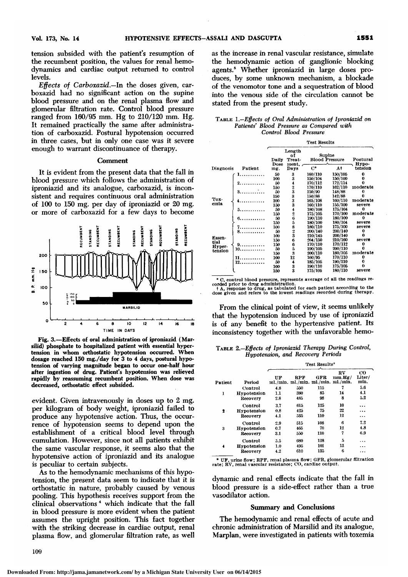tension subsided with the patient's resumption of the recumbent position, the values for renal hemodynamics and cardiac output returned to control levels.

Effects of Carboxazid —In the doses given, carboxazid had no significant action on the supine blood pressure and on the renal plasma flow and glomerular filtration rate. Control blood pressure ranged from 160/95 mm. Hg to 210/120 mm. Hg. It remained practically the same after administration of carboxazid. Postural hypotension occurred in three cases, but in only one case was it severe enough to warrant discontinuance of therapy.

### Comment

It is evident from the present data that the fall in blood pressure which follows the administration of iproniazid and its analogue, carboxazid, is inconsistent and requires continuous oral administration of <sup>100</sup> to <sup>150</sup> mg. per day of iproniazid or <sup>20</sup> mg. or more of carboxazid for <sup>a</sup> few days to become



Fig. 3.—Effects of oral administration of iproniazid ( Marsilid) phosphate to hospitalized patient with essential hypertension in whom orthostatic hypotension occurred. When dosage reached  $150$  mg./day for 3 to 4 days, postural hypotension of varying magnitude began to occur one-half hour after ingestion of drug. Patient's hypotension was relieved rapidly by reassuming recumbent position. When dose was decreased, orthostatic effect subsided.

evident. Given intravenously in doses up to <sup>2</sup> mg. per kilogram of body weight, iproniazid failed to produce any hypotensive action. Thus, the occurrence of hypotension seems to depend upon the establishment of <sup>a</sup> critical blood level through cumulation. However, since not all patients exhibit the same vascular response, it seems also that the hypotensive action of iproniazid and its analogue is peculiar to certain subjects.

As to the hemodynamic mechanisms of this hypotension, the present data seem to indicate that it is orthostatic in nature, probably caused by venous pooling. This hypothesis receives support from the clinical observations " which indicate that the fall in blood pressure is more evident when the patient assumes the upright position. This fact together with the striking decrease in cardiac output, renal plasma flow, and glomerular filtration rate, as well as the increase in renal vascular resistance, simulate the hemodynamic action of ganglionic blocking agents.<sup>5</sup> Whether iproniazid in large doses produces, by some unknown mechanism, <sup>a</sup> blockade of the venomotor tone and <sup>a</sup> sequestration of blood into the venous side of the circulation cannot be stated from the present study.

| TABLE 1.-Effects of Oral Administration of Iproniazid on |
|----------------------------------------------------------|
| Patients' Blood Pressure as Compared with                |
| Control Blood Pressure                                   |

|           |         | <b>Test Results</b> |                                                   |                                 |                   |          |  |
|-----------|---------|---------------------|---------------------------------------------------|---------------------------------|-------------------|----------|--|
|           |         | Daily<br>Dose       | Length<br>nf<br>Treat-<br>ment.                   | Supine<br><b>Blood Pressure</b> | Postural<br>Нуро- |          |  |
| Diagnosis | Patient | ing.                | Days                                              | $C^*$                           | At                | tension  |  |
|           |         | 50                  | 3                                                 | 160/110                         | 150/105           | 0        |  |
|           |         | 100                 | 3                                                 | 150/104                         | 150/100           |          |  |
|           | 2.      | 50                  | 4                                                 | 170/112                         | 172/114           |          |  |
|           |         | 150                 | $\frac{2}{3}$                                     | 170/110                         | 162/110           | moderate |  |
|           | 3.      | 50                  |                                                   | 150/90                          | 148/88            |          |  |
|           |         | 150                 |                                                   | 150/88                          | 142/88            |          |  |
| Tox-      |         | 100                 | $\begin{smallmatrix} 3 \ 3 \ 3 \end{smallmatrix}$ | 165/108                         | 160/110           | moderate |  |
| emia      |         | 150                 |                                                   | 160/110                         | 155/100           | severe   |  |
|           | 5.      | 50                  |                                                   | 180/108                         | 175/104           | o        |  |
|           |         | 150                 |                                                   | 175/105                         | 170/100           | moderate |  |
|           |         | 50                  |                                                   | 190/110                         | 180/100           | 0        |  |
|           |         | 150                 |                                                   | 180/100                         | 180/104           | severe   |  |
|           |         | 100                 |                                                   | 180/110                         | 175/100           | severe   |  |
|           |         | 50                  | 4265823                                           | 200/140                         | 200/140           | 0        |  |
|           |         | 100                 |                                                   | 210/145                         | 200/140           | 0        |  |
| Essen-    |         | 150                 | 6                                                 | 204/150                         | 210/160           | severe   |  |
| tial      | 9.      | 150                 | 6                                                 | 170/110                         | 170/112           | 0        |  |
| Hyper-    | 10.     | 50                  | 5                                                 | 190/105                         | 200/110           |          |  |
| tension   |         | 150                 | 3                                                 | 200/110                         | 180/105           | moderate |  |
|           | 11.     | 100                 | 12                                                | 160/95                          | 170/110           | 0        |  |
|           | 12.     | 50                  | 4                                                 | 185/105                         | 190/110           |          |  |
|           |         | 100                 |                                                   | 190/110                         | 175/105           | 0        |  |
|           |         | 150                 | $\frac{3}{3}$                                     | 175/105                         | 180/110           | severe   |  |
|           |         |                     |                                                   |                                 |                   |          |  |

\* C, control blood pressure, represents average of all the readings recorded prior to drug administration.<br>
+ A, response to drug, as tabulated for each patient according to the<br>
dose given and refers to the lowest reading

From the clinical point of view, it seems unlikely that the hypotension induced by use of iproniazid is of any benefit to the hypertensive patient. Its inconsistency together with the unfavorable hemo-

Table 2—Effects of Iproniazid Therapy During Control, Hypotension, and Recovery Periods

|         |             | Test Results* |                                            |     |              |                               |  |  |
|---------|-------------|---------------|--------------------------------------------|-----|--------------|-------------------------------|--|--|
| Patient | Period      | UF            | RPF<br>ml./min. ml./min. ml./min. ml./min. | GFR | RV<br>mm.Hg/ | $_{\rm co}$<br>Liter/<br>min. |  |  |
|         | Control     | 4.8           | 550                                        | 115 | 7            | 5.6                           |  |  |
| 1       | Hypotension | 1.1           | 380                                        | 85  | 14           | 4.1                           |  |  |
|         | Recovery    | 2.8           | 485                                        | 98  | 8            | 5.2                           |  |  |
| 2.      | Control     | 3.7           | 615                                        | 125 | 10           |                               |  |  |
|         | Hypotension | 0.8           | 425                                        | 75  | 22           |                               |  |  |
|         | Recovery    | 4.1           | 535                                        | 110 | 12           | $\cdots$                      |  |  |
| 3       | Control     | 2.9           | 515                                        | 108 | 6            | 7.2                           |  |  |
|         | Hypotension | 0.7           | 465                                        | 70  | 12           | 4.8                           |  |  |
|         | Recovery    | 3.1           | 550                                        | 110 | 7            | 6.9                           |  |  |
| 4       | Control     | 5.5           | 680                                        | 128 | 5            | .                             |  |  |
|         | Hypotension | 1.0           | 495                                        | 101 | 13           | .                             |  |  |
|         | Recovery    | 4.2           | 610                                        | 135 | 6            | .                             |  |  |

\* UF, urine flow; RPF, renal plasma flow; GFR, glomerular filtration rate; RV, renal vascular resistance; CO, cardiac output.

dynamic and renal effects indicate that the fall in blood pressure is <sup>a</sup> side-effect rather than <sup>a</sup> true vasodilator action.

### Summary and Conclusions

The hemodynamic and renal effects of acute and chronic administration of Marsilid and its analogue, Marplan, were investigated in patients with toxemia